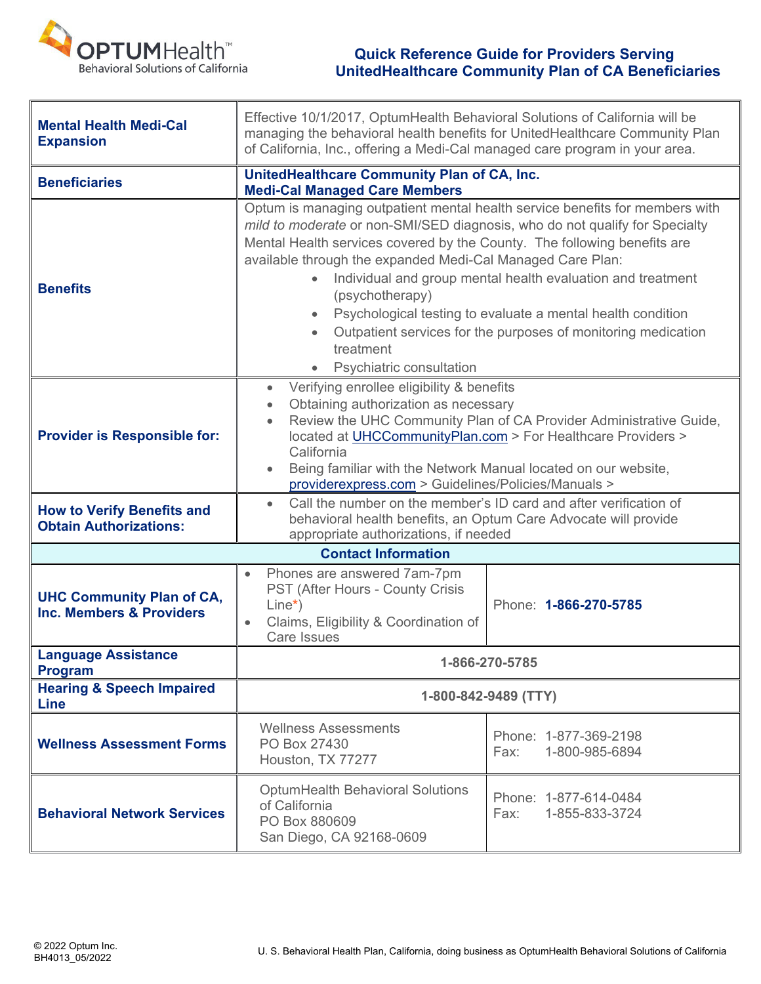

## **COPTUMHealth COPTUMHealth Quick Reference Guide for Providers Serving UnitedHealthcare Community Plan of CA Beneficiaries**

| <b>Mental Health Medi-Cal</b><br><b>Expansion</b>                  | Effective 10/1/2017, OptumHealth Behavioral Solutions of California will be<br>managing the behavioral health benefits for UnitedHealthcare Community Plan<br>of California, Inc., offering a Medi-Cal managed care program in your area.                                                                                                                                                                                                                                                                                                                                     |                                                 |
|--------------------------------------------------------------------|-------------------------------------------------------------------------------------------------------------------------------------------------------------------------------------------------------------------------------------------------------------------------------------------------------------------------------------------------------------------------------------------------------------------------------------------------------------------------------------------------------------------------------------------------------------------------------|-------------------------------------------------|
| <b>Beneficiaries</b>                                               | UnitedHealthcare Community Plan of CA, Inc.<br><b>Medi-Cal Managed Care Members</b>                                                                                                                                                                                                                                                                                                                                                                                                                                                                                           |                                                 |
| <b>Benefits</b>                                                    | Optum is managing outpatient mental health service benefits for members with<br>mild to moderate or non-SMI/SED diagnosis, who do not qualify for Specialty<br>Mental Health services covered by the County. The following benefits are<br>available through the expanded Medi-Cal Managed Care Plan:<br>Individual and group mental health evaluation and treatment<br>(psychotherapy)<br>Psychological testing to evaluate a mental health condition<br>$\bullet$<br>Outpatient services for the purposes of monitoring medication<br>treatment<br>Psychiatric consultation |                                                 |
| <b>Provider is Responsible for:</b>                                | Verifying enrollee eligibility & benefits<br>$\bullet$<br>Obtaining authorization as necessary<br>$\bullet$<br>Review the UHC Community Plan of CA Provider Administrative Guide,<br>$\bullet$<br>located at UHCCommunityPlan.com > For Healthcare Providers ><br>California<br>Being familiar with the Network Manual located on our website,<br>providerexpress.com > Guidelines/Policies/Manuals >                                                                                                                                                                         |                                                 |
| <b>How to Verify Benefits and</b><br><b>Obtain Authorizations:</b> | Call the number on the member's ID card and after verification of<br>$\bullet$<br>behavioral health benefits, an Optum Care Advocate will provide<br>appropriate authorizations, if needed                                                                                                                                                                                                                                                                                                                                                                                    |                                                 |
| <b>Contact Information</b>                                         |                                                                                                                                                                                                                                                                                                                                                                                                                                                                                                                                                                               |                                                 |
| <b>UHC Community Plan of CA,</b><br>Inc. Members & Providers       | Phones are answered 7am-7pm<br>PST (After Hours - County Crisis<br>$Line*$ )<br>Claims, Eligibility & Coordination of<br><b>Care Issues</b>                                                                                                                                                                                                                                                                                                                                                                                                                                   | Phone: 1-866-270-5785                           |
| <b>Language Assistance</b><br><b>Program</b>                       | 1-866-270-5785                                                                                                                                                                                                                                                                                                                                                                                                                                                                                                                                                                |                                                 |
| <b>Hearing &amp; Speech Impaired</b><br><b>Line</b>                | 1-800-842-9489 (TTY)                                                                                                                                                                                                                                                                                                                                                                                                                                                                                                                                                          |                                                 |
| <b>Wellness Assessment Forms</b>                                   | <b>Wellness Assessments</b><br>PO Box 27430<br>Houston, TX 77277                                                                                                                                                                                                                                                                                                                                                                                                                                                                                                              | Phone: 1-877-369-2198<br>1-800-985-6894<br>Fax: |
| <b>Behavioral Network Services</b>                                 | <b>OptumHealth Behavioral Solutions</b><br>of California<br>PO Box 880609<br>San Diego, CA 92168-0609                                                                                                                                                                                                                                                                                                                                                                                                                                                                         | Phone: 1-877-614-0484<br>1-855-833-3724<br>Fax: |